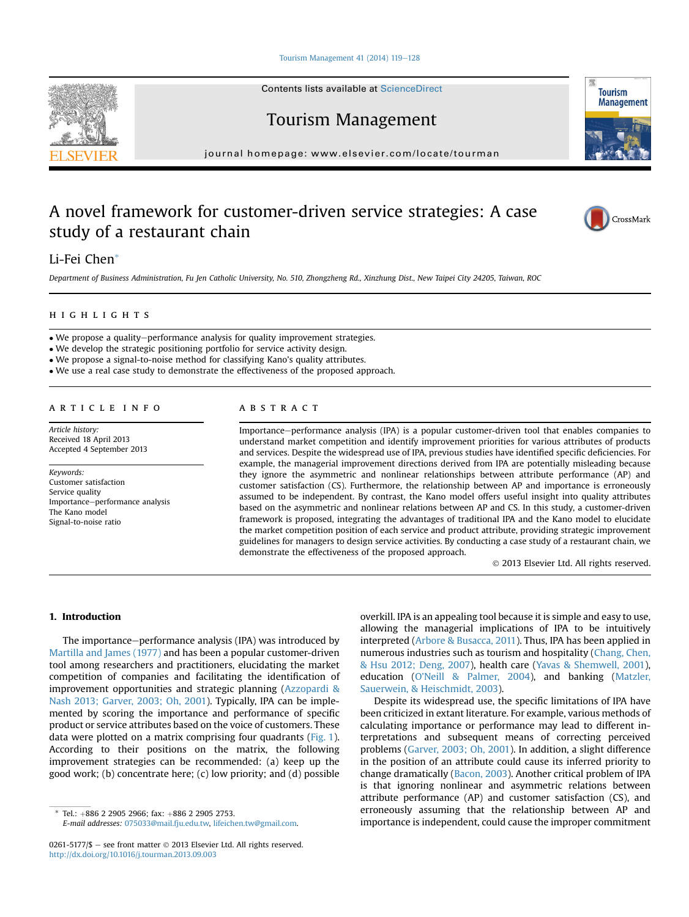Tourism Management  $41$  (2014) 119-[128](http://dx.doi.org/10.1016/j.tourman.2013.09.003)

Contents lists available at ScienceDirect

Tourism Management

journal homepage: [www.elsevier.com/locate/tourman](http://www.elsevier.com/locate/tourman)

## A novel framework for customer-driven service strategies: A case study of a restaurant chain



Department of Business Administration, Fu Jen Catholic University, No. 510, Zhongzheng Rd., Xinzhung Dist., New Taipei City 24205, Taiwan, ROC

#### **HIGHLIGHTS** highlights are the control of

• We propose a quality-performance analysis for quality improvement strategies.

We develop the strategic positioning portfolio for service activity design.

We propose a signal-to-noise method for classifying Kano's quality attributes.

We use a real case study to demonstrate the effectiveness of the proposed approach.

Article history: Received 18 April 2013 Accepted 4 September 2013

Keywords: Customer satisfaction Service quality Importance-performance analysis The Kano model Signal-to-noise ratio

### **ABSTRACT**

Importance-performance analysis (IPA) is a popular customer-driven tool that enables companies to understand market competition and identify improvement priorities for various attributes of products and services. Despite the widespread use of IPA, previous studies have identified specific deficiencies. For example, the managerial improvement directions derived from IPA are potentially misleading because they ignore the asymmetric and nonlinear relationships between attribute performance (AP) and customer satisfaction (CS). Furthermore, the relationship between AP and importance is erroneously assumed to be independent. By contrast, the Kano model offers useful insight into quality attributes based on the asymmetric and nonlinear relations between AP and CS. In this study, a customer-driven framework is proposed, integrating the advantages of traditional IPA and the Kano model to elucidate the market competition position of each service and product attribute, providing strategic improvement guidelines for managers to design service activities. By conducting a case study of a restaurant chain, we demonstrate the effectiveness of the proposed approach.

2013 Elsevier Ltd. All rights reserved.

1. Introduction

The importance–performance analysis (IPA) was introduced by [Martilla and James \(1977\)](#page--1-0) and has been a popular customer-driven tool among researchers and practitioners, elucidating the market competition of companies and facilitating the identification of improvement opportunities and strategic planning [\(Azzopardi &](#page--1-0) [Nash 2013; Garver, 2003; Oh, 2001\)](#page--1-0). Typically, IPA can be implemented by scoring the importance and performance of specific product or service attributes based on the voice of customers. These data were plotted on a matrix comprising four quadrants ([Fig. 1\)](#page-1-0). According to their positions on the matrix, the following improvement strategies can be recommended: (a) keep up the good work; (b) concentrate here; (c) low priority; and (d) possible

Tel.: +886 2 2905 2966; fax: +886 2 2905 2753.

E-mail addresses: [075033@mail.fju.edu.tw,](mailto:075033@mail.fju.edu.tw) [lifeichen.tw@gmail.com.](mailto:lifeichen.tw@gmail.com)

overkill. IPA is an appealing tool because it is simple and easy to use, allowing the managerial implications of IPA to be intuitively interpreted [\(Arbore & Busacca, 2011](#page--1-0)). Thus, IPA has been applied in numerous industries such as tourism and hospitality ([Chang, Chen,](#page--1-0) [& Hsu 2012; Deng, 2007\)](#page--1-0), health care ([Yavas & Shemwell, 2001\)](#page--1-0), education (O'[Neill & Palmer, 2004](#page--1-0)), and banking [\(Matzler,](#page--1-0) [Sauerwein, & Heischmidt, 2003\)](#page--1-0).

Despite its widespread use, the specific limitations of IPA have been criticized in extant literature. For example, various methods of calculating importance or performance may lead to different interpretations and subsequent means of correcting perceived problems ([Garver, 2003; Oh, 2001\)](#page--1-0). In addition, a slight difference in the position of an attribute could cause its inferred priority to change dramatically ([Bacon, 2003\)](#page--1-0). Another critical problem of IPA is that ignoring nonlinear and asymmetric relations between attribute performance (AP) and customer satisfaction (CS), and erroneously assuming that the relationship between AP and importance is independent, could cause the improper commitment





CrossMark

**Tourism Management** 

<sup>0261-5177/\$</sup>  $-$  see front matter  $\odot$  2013 Elsevier Ltd. All rights reserved. <http://dx.doi.org/10.1016/j.tourman.2013.09.003>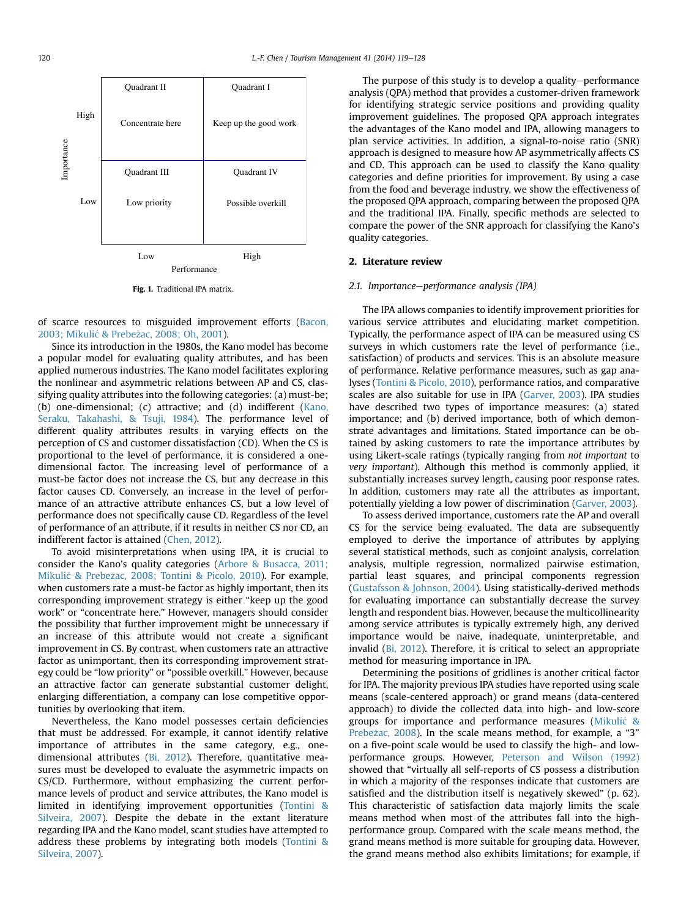<span id="page-1-0"></span>

Fig. 1. Traditional IPA matrix.

of scarce resources to misguided improvement efforts [\(Bacon,](#page--1-0) [2003; Mikuli](#page--1-0)ć [& Prebe](#page--1-0)ž[ac, 2008; Oh, 2001\)](#page--1-0).

Since its introduction in the 1980s, the Kano model has become a popular model for evaluating quality attributes, and has been applied numerous industries. The Kano model facilitates exploring the nonlinear and asymmetric relations between AP and CS, classifying quality attributes into the following categories: (a) must-be; (b) one-dimensional; (c) attractive; and (d) indifferent ([Kano,](#page--1-0) [Seraku, Takahashi, & Tsuji, 1984](#page--1-0)). The performance level of different quality attributes results in varying effects on the perception of CS and customer dissatisfaction (CD). When the CS is proportional to the level of performance, it is considered a onedimensional factor. The increasing level of performance of a must-be factor does not increase the CS, but any decrease in this factor causes CD. Conversely, an increase in the level of performance of an attractive attribute enhances CS, but a low level of performance does not specifically cause CD. Regardless of the level of performance of an attribute, if it results in neither CS nor CD, an indifferent factor is attained ([Chen, 2012\)](#page--1-0).

To avoid misinterpretations when using IPA, it is crucial to consider the Kano's quality categories ([Arbore & Busacca, 2011;](#page--1-0) [Mikuli](#page--1-0)ć & Prebež[ac, 2008; Tontini & Picolo, 2010](#page--1-0)). For example, when customers rate a must-be factor as highly important, then its corresponding improvement strategy is either "keep up the good work" or "concentrate here." However, managers should consider the possibility that further improvement might be unnecessary if an increase of this attribute would not create a significant improvement in CS. By contrast, when customers rate an attractive factor as unimportant, then its corresponding improvement strategy could be "low priority" or "possible overkill." However, because an attractive factor can generate substantial customer delight, enlarging differentiation, a company can lose competitive opportunities by overlooking that item.

Nevertheless, the Kano model possesses certain deficiencies that must be addressed. For example, it cannot identify relative importance of attributes in the same category, e.g., onedimensional attributes ([Bi, 2012](#page--1-0)). Therefore, quantitative measures must be developed to evaluate the asymmetric impacts on CS/CD. Furthermore, without emphasizing the current performance levels of product and service attributes, the Kano model is limited in identifying improvement opportunities [\(Tontini &](#page--1-0) [Silveira, 2007](#page--1-0)). Despite the debate in the extant literature regarding IPA and the Kano model, scant studies have attempted to address these problems by integrating both models [\(Tontini &](#page--1-0) [Silveira, 2007](#page--1-0)).

The purpose of this study is to develop a quality-performance analysis (QPA) method that provides a customer-driven framework for identifying strategic service positions and providing quality improvement guidelines. The proposed QPA approach integrates the advantages of the Kano model and IPA, allowing managers to plan service activities. In addition, a signal-to-noise ratio (SNR) approach is designed to measure how AP asymmetrically affects CS and CD. This approach can be used to classify the Kano quality categories and define priorities for improvement. By using a case from the food and beverage industry, we show the effectiveness of the proposed QPA approach, comparing between the proposed QPA and the traditional IPA. Finally, specific methods are selected to compare the power of the SNR approach for classifying the Kano's quality categories.

#### 2. Literature review

#### 2.1. Importance-performance analysis (IPA)

The IPA allows companies to identify improvement priorities for various service attributes and elucidating market competition. Typically, the performance aspect of IPA can be measured using CS surveys in which customers rate the level of performance (i.e., satisfaction) of products and services. This is an absolute measure of performance. Relative performance measures, such as gap analyses [\(Tontini & Picolo, 2010\)](#page--1-0), performance ratios, and comparative scales are also suitable for use in IPA ([Garver, 2003](#page--1-0)). IPA studies have described two types of importance measures: (a) stated importance; and (b) derived importance, both of which demonstrate advantages and limitations. Stated importance can be obtained by asking customers to rate the importance attributes by using Likert-scale ratings (typically ranging from not important to very important). Although this method is commonly applied, it substantially increases survey length, causing poor response rates. In addition, customers may rate all the attributes as important, potentially yielding a low power of discrimination ([Garver, 2003](#page--1-0)).

To assess derived importance, customers rate the AP and overall CS for the service being evaluated. The data are subsequently employed to derive the importance of attributes by applying several statistical methods, such as conjoint analysis, correlation analysis, multiple regression, normalized pairwise estimation, partial least squares, and principal components regression ([Gustafsson & Johnson, 2004](#page--1-0)). Using statistically-derived methods for evaluating importance can substantially decrease the survey length and respondent bias. However, because the multicollinearity among service attributes is typically extremely high, any derived importance would be naive, inadequate, uninterpretable, and invalid ([Bi, 2012](#page--1-0)). Therefore, it is critical to select an appropriate method for measuring importance in IPA.

Determining the positions of gridlines is another critical factor for IPA. The majority previous IPA studies have reported using scale means (scale-centered approach) or grand means (data-centered approach) to divide the collected data into high- and low-score groups for importance and performance measures ([Mikuli](#page--1-0)ć & [Prebe](#page--1-0)žac, 2008). In the scale means method, for example, a "3" on a five-point scale would be used to classify the high- and lowperformance groups. However, [Peterson and Wilson \(1992\)](#page--1-0) showed that "virtually all self-reports of CS possess a distribution in which a majority of the responses indicate that customers are satisfied and the distribution itself is negatively skewed" (p. 62). This characteristic of satisfaction data majorly limits the scale means method when most of the attributes fall into the highperformance group. Compared with the scale means method, the grand means method is more suitable for grouping data. However, the grand means method also exhibits limitations; for example, if